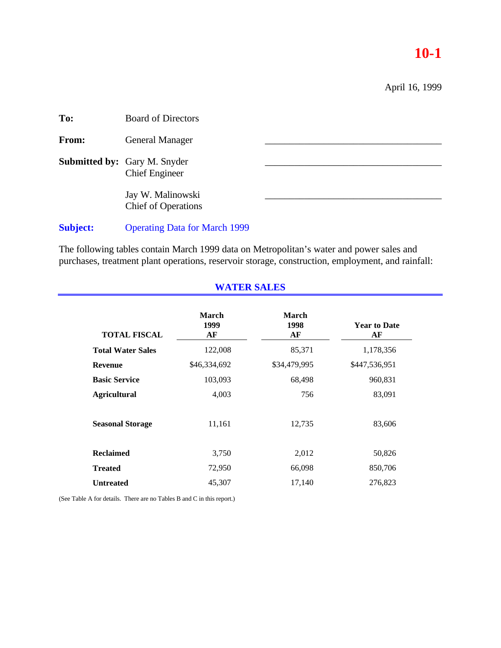# **10-1**

April 16, 1999

| To:             | <b>Board of Directors</b>                                    |  |
|-----------------|--------------------------------------------------------------|--|
| From:           | <b>General Manager</b>                                       |  |
|                 | <b>Submitted by:</b> Gary M. Snyder<br><b>Chief Engineer</b> |  |
|                 | Jay W. Malinowski<br><b>Chief of Operations</b>              |  |
| <b>Subject:</b> | <b>Operating Data for March 1999</b>                         |  |

The following tables contain March 1999 data on Metropolitan's water and power sales and purchases, treatment plant operations, reservoir storage, construction, employment, and rainfall:

**WATER SALES**

| <b>TOTAL FISCAL</b>      | <b>March</b><br>1999<br>AF | March<br>1998<br>AF | <b>Year to Date</b><br>AF |
|--------------------------|----------------------------|---------------------|---------------------------|
| <b>Total Water Sales</b> | 122,008                    | 85,371              | 1,178,356                 |
| <b>Revenue</b>           | \$46,334,692               | \$34,479,995        | \$447,536,951             |
| <b>Basic Service</b>     | 103,093                    | 68,498              | 960,831                   |
| <b>Agricultural</b>      | 4,003                      | 756                 | 83,091                    |
| <b>Seasonal Storage</b>  | 11,161                     | 12,735              | 83,606                    |
| <b>Reclaimed</b>         | 3,750                      | 2,012               | 50,826                    |
| <b>Treated</b>           | 72,950                     | 66,098              | 850,706                   |
| <b>Untreated</b>         | 45,307                     | 17,140              | 276,823                   |

(See Table A for details. There are no Tables B and C in this report.)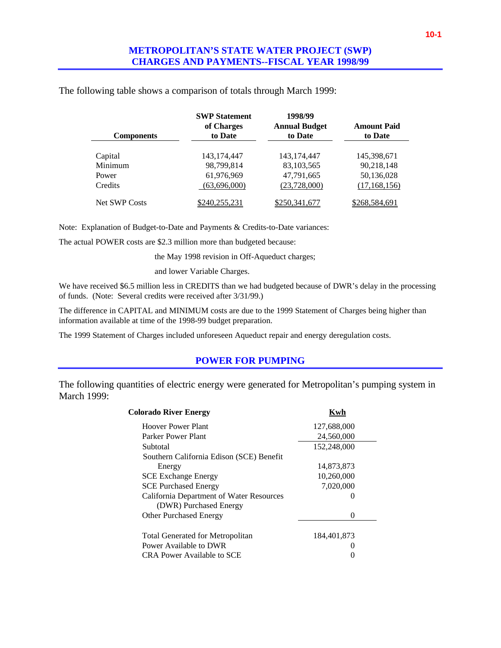| <b>Components</b>    | <b>SWP Statement</b><br>of Charges<br>to Date | 1998/99<br><b>Annual Budget</b><br>to Date | <b>Amount Paid</b><br>to Date |
|----------------------|-----------------------------------------------|--------------------------------------------|-------------------------------|
|                      |                                               |                                            |                               |
| Capital              | 143.174.447                                   | 143, 174, 447                              | 145.398.671                   |
| Minimum              | 98.799.814                                    | 83, 103, 565                               | 90,218,148                    |
| Power                | 61,976,969                                    | 47,791,665                                 | 50,136,028                    |
| Credits              | (63,696,000)                                  | (23,728,000)                               | (17, 168, 156)                |
| <b>Net SWP Costs</b> | \$240,255,231                                 | \$250,341,677                              | \$268,584,691                 |

The following table shows a comparison of totals through March 1999:

Note: Explanation of Budget-to-Date and Payments & Credits-to-Date variances:

The actual POWER costs are \$2.3 million more than budgeted because:

the May 1998 revision in Off-Aqueduct charges;

and lower Variable Charges.

We have received \$6.5 million less in CREDITS than we had budgeted because of DWR's delay in the processing of funds. (Note: Several credits were received after 3/31/99.)

The difference in CAPITAL and MINIMUM costs are due to the 1999 Statement of Charges being higher than information available at time of the 1998-99 budget preparation.

The 1999 Statement of Charges included unforeseen Aqueduct repair and energy deregulation costs.

#### **POWER FOR PUMPING**

The following quantities of electric energy were generated for Metropolitan's pumping system in March 1999:

| Colorado River Energy                    | Kwh          |
|------------------------------------------|--------------|
| Hoover Power Plant                       | 127,688,000  |
| Parker Power Plant                       | 24,560,000   |
| Subtotal                                 | 152,248,000  |
| Southern California Edison (SCE) Benefit |              |
| Energy                                   | 14,873,873   |
| <b>SCE Exchange Energy</b>               | 10,260,000   |
| <b>SCE Purchased Energy</b>              | 7,020,000    |
| California Department of Water Resources | 0            |
| (DWR) Purchased Energy                   |              |
| <b>Other Purchased Energy</b>            | $\mathbf{0}$ |
| <b>Total Generated for Metropolitan</b>  | 184,401,873  |
| Power Available to DWR                   |              |
| CRA Power Available to SCE               |              |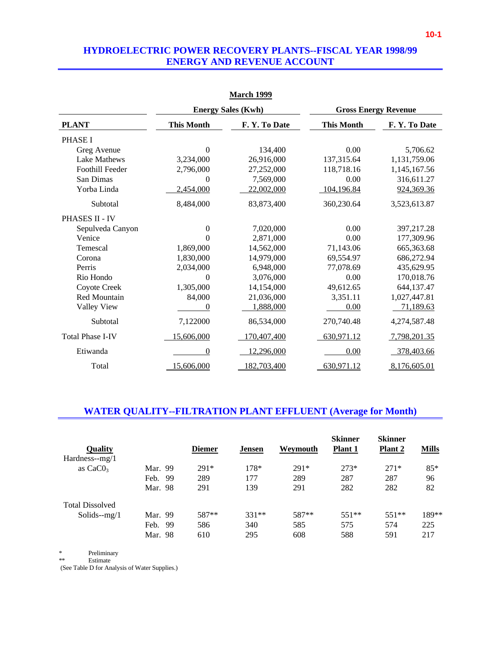#### **HYDROELECTRIC POWER RECOVERY PLANTS--FISCAL YEAR 1998/99 ENERGY AND REVENUE ACCOUNT**

|                         | <b>Energy Sales (Kwh)</b> |             |                   | <b>Gross Energy Revenue</b> |
|-------------------------|---------------------------|-------------|-------------------|-----------------------------|
| <b>PLANT</b>            | <b>This Month</b>         | F.Y.To Date | <b>This Month</b> | F.Y.To Date                 |
| <b>PHASE I</b>          |                           |             |                   |                             |
| Greg Avenue             | $\overline{0}$            | 134,400     | 0.00              | 5,706.62                    |
| Lake Mathews            | 3,234,000                 | 26,916,000  | 137,315.64        | 1,131,759.06                |
| <b>Foothill Feeder</b>  | 2,796,000                 | 27,252,000  | 118,718.16        | 1,145,167.56                |
| San Dimas               | 0                         | 7,569,000   | 0.00              | 316,611.27                  |
| Yorba Linda             | 2,454,000                 | 22,002,000  | 104,196.84        | 924,369.36                  |
| Subtotal                | 8,484,000                 | 83,873,400  | 360,230.64        | 3,523,613.87                |
| PHASES II - IV          |                           |             |                   |                             |
| Sepulveda Canyon        | 0                         | 7,020,000   | 0.00              | 397,217.28                  |
| Venice                  | 0                         | 2,871,000   | 0.00              | 177,309.96                  |
| Temescal                | 1,869,000                 | 14,562,000  | 71,143.06         | 665,363.68                  |
| Corona                  | 1,830,000                 | 14,979,000  | 69,554.97         | 686,272.94                  |
| Perris                  | 2,034,000                 | 6,948,000   | 77,078.69         | 435,629.95                  |
| Rio Hondo               | $\Omega$                  | 3,076,000   | 0.00              | 170,018.76                  |
| Coyote Creek            | 1,305,000                 | 14,154,000  | 49,612.65         | 644,137.47                  |
| Red Mountain            | 84,000                    | 21,036,000  | 3,351.11          | 1,027,447.81                |
| Valley View             | $\theta$                  | 1,888,000   | 0.00              | 71,189.63                   |
| Subtotal                | 7,122000                  | 86,534,000  | 270,740.48        | 4,274,587.48                |
| <b>Total Phase I-IV</b> | 15,606,000                | 170,407,400 | 630,971.12        | 7,798,201.35                |
| Etiwanda                | 0                         | 12,296,000  | 0.00              | 378,403.66                  |
| Total                   | 15,606,000                | 182,703,400 | 630,971.12        | 8,176,605.01                |

#### **March 1999**

### **WATER QUALITY--FILTRATION PLANT EFFLUENT (Average for Month)**

| Quality<br>$Hardness-mg/1$ |             | <b>Diemer</b> | <b>Jensen</b> | Weymouth | <b>Skinner</b><br><b>Plant 1</b> | <b>Skinner</b><br>Plant 2 | <b>Mills</b> |
|----------------------------|-------------|---------------|---------------|----------|----------------------------------|---------------------------|--------------|
| as $CaCO3$                 | Mar. 99     | $291*$        | 178*          | $291*$   | $273*$                           | $271*$                    | $85*$        |
|                            | Feb.<br>-99 | 289           | 177           | 289      | 287                              | 287                       | 96           |
|                            | Mar. 98     | 291           | 139           | 291      | 282                              | 282                       | 82           |
| <b>Total Dissolved</b>     |             |               |               |          |                                  |                           |              |
| Solids- $-mg/1$            | Mar. 99     | 587**         | $331**$       | 587**    | $551**$                          | $551**$                   | 189**        |
|                            | Feb.<br>-99 | 586           | 340           | 585      | 575                              | 574                       | 225          |
|                            | Mar. 98     | 610           | 295           | 608      | 588                              | 591                       | 217          |

\* Preliminary

**Estimate** 

(See Table D for Analysis of Water Supplies.)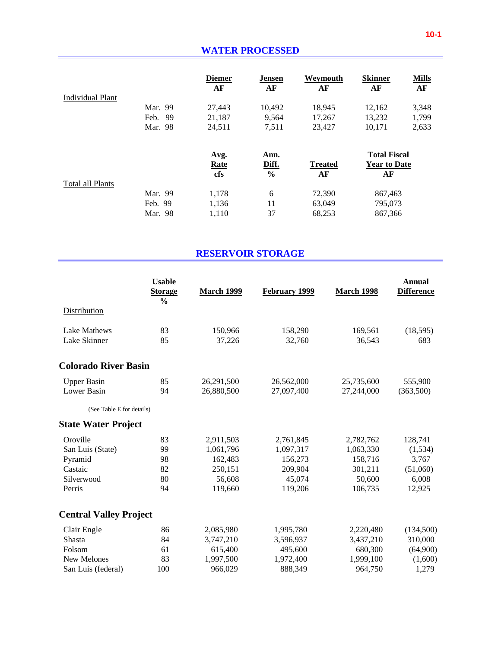|                  |         | <b>Diemer</b><br>AF | <b>Jensen</b><br>AF | Weymouth<br>AF | <b>Skinner</b><br>AF | <b>Mills</b><br>AF |
|------------------|---------|---------------------|---------------------|----------------|----------------------|--------------------|
| Individual Plant |         |                     |                     |                |                      |                    |
|                  | Mar. 99 | 27,443              | 10,492              | 18,945         | 12,162               | 3,348              |
|                  | Feb. 99 | 21,187              | 9,564               | 17,267         | 13,232               | 1,799              |
|                  | Mar. 98 | 24,511              | 7,511               | 23,427         | 10,171               | 2,633              |
|                  |         | Avg.                | Ann.                |                | <b>Total Fiscal</b>  |                    |
|                  |         | <b>Rate</b>         | Diff.               | <b>Treated</b> | <b>Year to Date</b>  |                    |
|                  |         | cfs                 | $\frac{6}{6}$       | AF             | AF                   |                    |
| Total all Plants |         |                     |                     |                |                      |                    |
|                  | Mar. 99 | 1,178               | 6                   | 72,390         | 867,463              |                    |
|                  | Feb. 99 | 1,136               | 11                  | 63,049         | 795,073              |                    |
|                  | Mar. 98 | 1,110               | 37                  | 68,253         | 867,366              |                    |

# **RESERVOIR STORAGE**

|                               | <b>Usable</b><br><b>Storage</b><br>$\frac{0}{0}$ | <b>March 1999</b> | February 1999 | <b>March 1998</b> | <b>Annual</b><br><b>Difference</b> |
|-------------------------------|--------------------------------------------------|-------------------|---------------|-------------------|------------------------------------|
| Distribution                  |                                                  |                   |               |                   |                                    |
| Lake Mathews                  | 83                                               | 150,966           | 158,290       | 169,561           | (18, 595)                          |
| Lake Skinner                  | 85                                               | 37,226            | 32,760        | 36,543            | 683                                |
| <b>Colorado River Basin</b>   |                                                  |                   |               |                   |                                    |
| <b>Upper Basin</b>            | 85                                               | 26,291,500        | 26,562,000    | 25,735,600        | 555,900                            |
| Lower Basin                   | 94                                               | 26,880,500        | 27,097,400    | 27,244,000        | (363,500)                          |
| (See Table E for details)     |                                                  |                   |               |                   |                                    |
| <b>State Water Project</b>    |                                                  |                   |               |                   |                                    |
| Oroville                      | 83                                               | 2,911,503         | 2,761,845     | 2,782,762         | 128,741                            |
| San Luis (State)              | 99                                               | 1,061,796         | 1,097,317     | 1,063,330         | (1,534)                            |
| Pyramid                       | 98                                               | 162,483           | 156,273       | 158,716           | 3,767                              |
| Castaic                       | 82                                               | 250,151           | 209,904       | 301,211           | (51,060)                           |
| Silverwood                    | 80                                               | 56,608            | 45,074        | 50,600            | 6,008                              |
| Perris                        | 94                                               | 119,660           | 119,206       | 106,735           | 12,925                             |
| <b>Central Valley Project</b> |                                                  |                   |               |                   |                                    |
| Clair Engle                   | 86                                               | 2,085,980         | 1,995,780     | 2,220,480         | (134,500)                          |
| Shasta                        | 84                                               | 3,747,210         | 3,596,937     | 3,437,210         | 310,000                            |
| Folsom                        | 61                                               | 615,400           | 495,600       | 680,300           | (64,900)                           |
| New Melones                   | 83                                               | 1,997,500         | 1,972,400     | 1,999,100         | (1,600)                            |
| San Luis (federal)            | 100                                              | 966,029           | 888,349       | 964,750           | 1,279                              |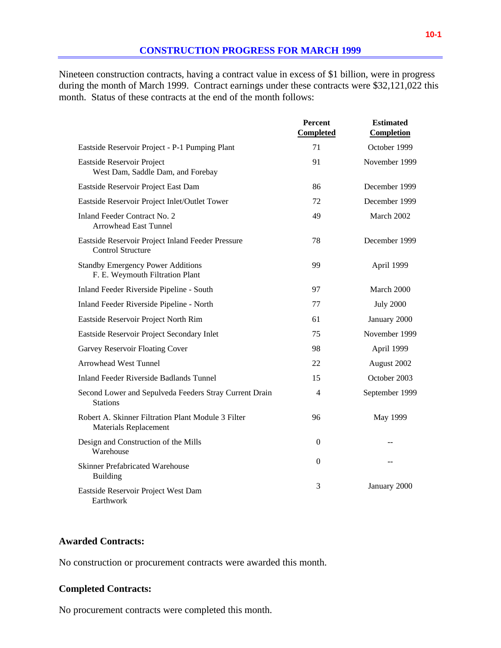Nineteen construction contracts, having a contract value in excess of \$1 billion, were in progress during the month of March 1999. Contract earnings under these contracts were \$32,121,022 this month. Status of these contracts at the end of the month follows:

|                                                                                    | Percent<br><b>Completed</b> | <b>Estimated</b><br>Completion |
|------------------------------------------------------------------------------------|-----------------------------|--------------------------------|
| Eastside Reservoir Project - P-1 Pumping Plant                                     | 71                          | October 1999                   |
| Eastside Reservoir Project<br>West Dam, Saddle Dam, and Forebay                    | 91                          | November 1999                  |
| Eastside Reservoir Project East Dam                                                | 86                          | December 1999                  |
| Eastside Reservoir Project Inlet/Outlet Tower                                      | 72                          | December 1999                  |
| <b>Inland Feeder Contract No. 2</b><br><b>Arrowhead East Tunnel</b>                | 49                          | March 2002                     |
| Eastside Reservoir Project Inland Feeder Pressure<br><b>Control Structure</b>      | 78                          | December 1999                  |
| <b>Standby Emergency Power Additions</b><br>F. E. Weymouth Filtration Plant        | 99                          | April 1999                     |
| Inland Feeder Riverside Pipeline - South                                           | 97                          | March 2000                     |
| Inland Feeder Riverside Pipeline - North                                           | 77                          | <b>July 2000</b>               |
| Eastside Reservoir Project North Rim                                               | 61                          | January 2000                   |
| Eastside Reservoir Project Secondary Inlet                                         | 75                          | November 1999                  |
| Garvey Reservoir Floating Cover                                                    | 98                          | April 1999                     |
| <b>Arrowhead West Tunnel</b>                                                       | 22                          | August 2002                    |
| <b>Inland Feeder Riverside Badlands Tunnel</b>                                     | 15                          | October 2003                   |
| Second Lower and Sepulveda Feeders Stray Current Drain<br><b>Stations</b>          | 4                           | September 1999                 |
| Robert A. Skinner Filtration Plant Module 3 Filter<br><b>Materials Replacement</b> | 96                          | May 1999                       |
| Design and Construction of the Mills<br>Warehouse                                  | $\mathbf{0}$                | $-$                            |
| <b>Skinner Prefabricated Warehouse</b><br><b>Building</b>                          | $\Omega$                    |                                |
| Eastside Reservoir Project West Dam<br>Earthwork                                   | 3                           | January 2000                   |

### **Awarded Contracts:**

No construction or procurement contracts were awarded this month.

### **Completed Contracts:**

No procurement contracts were completed this month.